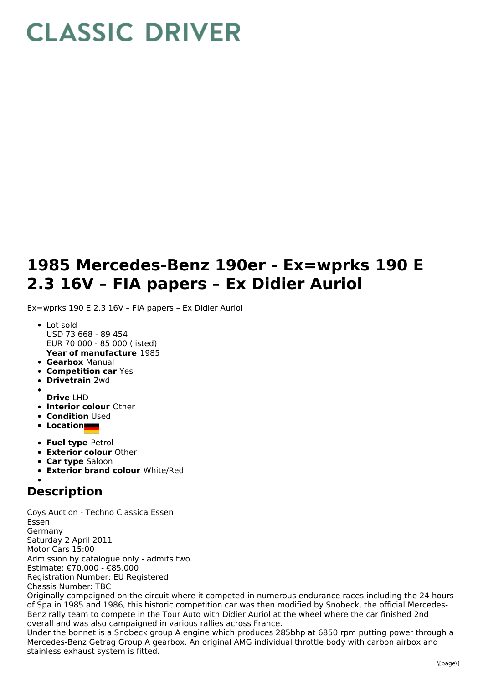## **CLASSIC DRIVER**

## **1985 Mercedes-Benz 190er - Ex=wprks 190 E 2.3 16V – FIA papers – Ex Didier Auriol**

Ex=wprks 190 E 2.3 16V – FIA papers – Ex Didier Auriol

- **Year of manufacture** 1985 • Lot sold USD 73 668 - 89 454 EUR 70 000 - 85 000 (listed)
- **Gearbox** Manual
- **Competition car** Yes
- **Drivetrain** 2wd
- **Drive** LHD
- **Interior colour** Other
- **Condition Used**
- **Location**
- **Fuel type** Petrol
- **Exterior colour** Other
- **Car type** Saloon
- **Exterior brand colour** White/Red

## **Description**

Coys Auction - Techno Classica Essen Essen Germany Saturday 2 April 2011 Motor Cars 15:00 Admission by catalogue only - admits two. Estimate: €70,000 - €85,000 Registration Number: EU Registered Chassis Number: TBC

Originally campaigned on the circuit where it competed in numerous endurance races including the 24 hours of Spa in 1985 and 1986, this historic competition car was then modified by Snobeck, the official Mercedes-Benz rally team to compete in the Tour Auto with Didier Auriol at the wheel where the car finished 2nd overall and was also campaigned in various rallies across France.

Under the bonnet is a Snobeck group A engine which produces 285bhp at 6850 rpm putting power through a Mercedes-Benz Getrag Group A gearbox. An original AMG individual throttle body with carbon airbox and stainless exhaust system is fitted.